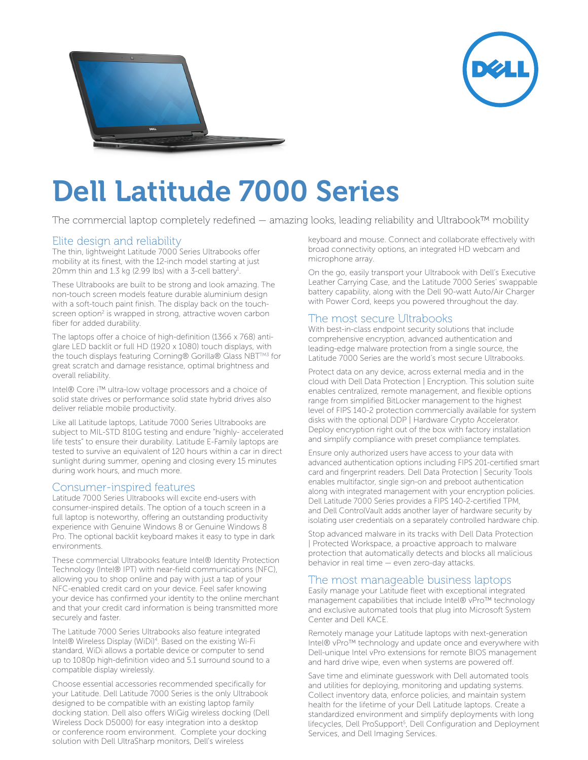



## Dell Latitude 7000 Series

The commercial laptop completely redefined — amazing looks, leading reliability and Ultrabook™ mobility

#### Elite design and reliability

The thin, lightweight Latitude 7000 Series Ultrabooks offer mobility at its finest, with the 12-inch model starting at just 20 mm thin and 1.3 kg (2.99 lbs) with a 3-cell battery<sup>1</sup>.

These Ultrabooks are built to be strong and look amazing. The non-touch screen models feature durable aluminium design with a soft-touch paint finish. The display back on the touchscreen option<sup>2</sup> is wrapped in strong, attractive woven carbon fiber for added durability.

The laptops offer a choice of high-definition (1366 x 768) antiglare LED backlit or full HD (1920 x 1080) touch displays, with the touch displays featuring Corning® Gorilla® Glass NBT™<sup>3</sup> for great scratch and damage resistance, optimal brightness and overall reliability.

Intel® Core i™ ultra-low voltage processors and a choice of solid state drives or performance solid state hybrid drives also deliver reliable mobile productivity.

Like all Latitude laptops, Latitude 7000 Series Ultrabooks are subject to MIL-STD 810G testing and endure "highly- accelerated life tests" to ensure their durability. Latitude E-Family laptops are tested to survive an equivalent of 120 hours within a car in direct sunlight during summer, opening and closing every 15 minutes during work hours, and much more.

#### Consumer-inspired features

Latitude 7000 Series Ultrabooks will excite end-users with consumer-inspired details. The option of a touch screen in a full laptop is noteworthy, offering an outstanding productivity experience with Genuine Windows 8 or Genuine Windows 8 Pro. The optional backlit keyboard makes it easy to type in dark environments.

These commercial Ultrabooks feature Intel® Identity Protection Technology (Intel® IPT) with near-field communications (NFC), allowing you to shop online and pay with just a tap of your NFC-enabled credit card on your device. Feel safer knowing your device has confirmed your identity to the online merchant and that your credit card information is being transmitted more securely and faster.

The Latitude 7000 Series Ultrabooks also feature integrated Intel® Wireless Display (WiDi)<sup>4</sup>. Based on the existing Wi-Fi standard, WiDi allows a portable device or computer to send up to 1080p high-definition video and 5.1 surround sound to a compatible display wirelessly.

Choose essential accessories recommended specifically for your Latitude. Dell Latitude 7000 Series is the only Ultrabook designed to be compatible with an existing laptop family docking station. Dell also offers WiGig wireless docking (Dell Wireless Dock D5000) for easy integration into a desktop or conference room environment. Complete your docking solution with Dell UltraSharp monitors, Dell's wireless

keyboard and mouse. Connect and collaborate effectively with broad connectivity options, an integrated HD webcam and microphone array.

On the go, easily transport your Ultrabook with Dell's Executive Leather Carrying Case, and the Latitude 7000 Series' swappable battery capability, along with the Dell 90-watt Auto/Air Charger with Power Cord, keeps you powered throughout the day.

#### The most secure Ultrabooks

With best-in-class endpoint security solutions that include comprehensive encryption, advanced authentication and leading-edge malware protection from a single source, the Latitude 7000 Series are the world's most secure Ultrabooks.

Protect data on any device, across external media and in the cloud with Dell Data Protection | Encryption. This solution suite enables centralized, remote management, and flexible options range from simplified BitLocker management to the highest level of FIPS 140-2 protection commercially available for system disks with the optional DDP | Hardware Crypto Accelerator. Deploy encryption right out of the box with factory installation and simplify compliance with preset compliance templates.

Ensure only authorized users have access to your data with advanced authentication options including FIPS 201-certified smart card and fingerprint readers. Dell Data Protection | Security Tools enables multifactor, single sign-on and preboot authentication along with integrated management with your encryption policies. Dell Latitude 7000 Series provides a FIPS 140-2-certified TPM, and Dell ControlVault adds another layer of hardware security by isolating user credentials on a separately controlled hardware chip.

Stop advanced malware in its tracks with Dell Data Protection | Protected Workspace, a proactive approach to malware protection that automatically detects and blocks all malicious behavior in real time — even zero-day attacks.

### The most manageable business laptops

Easily manage your Latitude fleet with exceptional integrated management capabilities that include Intel® vPro™ technology and exclusive automated tools that plug into Microsoft System Center and Dell KACE.

Remotely manage your Latitude laptops with next-generation Intel® vPro™ technology and update once and everywhere with Dell-unique Intel vPro extensions for remote BIOS management and hard drive wipe, even when systems are powered off.

Save time and eliminate guesswork with Dell automated tools and utilities for deploying, monitoring and updating systems. Collect inventory data, enforce policies, and maintain system health for the lifetime of your Dell Latitude laptops. Create a standardized environment and simplify deployments with long lifecycles, Dell ProSupport<sup>5</sup>, Dell Configuration and Deployment Services, and Dell Imaging Services.